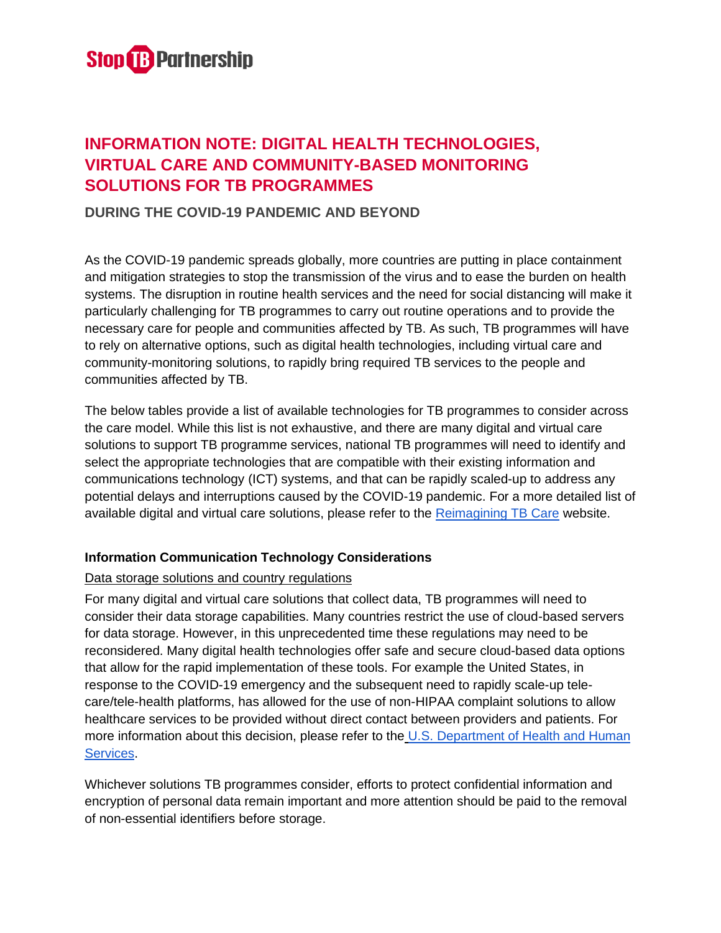

# **INFORMATION NOTE: DIGITAL HEALTH TECHNOLOGIES, VIRTUAL CARE AND COMMUNITY-BASED MONITORING SOLUTIONS FOR TB PROGRAMMES**

# **DURING THE COVID-19 PANDEMIC AND BEYOND**

As the COVID-19 pandemic spreads globally, more countries are putting in place containment and mitigation strategies to stop the transmission of the virus and to ease the burden on health systems. The disruption in routine health services and the need for social distancing will make it particularly challenging for TB programmes to carry out routine operations and to provide the necessary care for people and communities affected by TB. As such, TB programmes will have to rely on alternative options, such as digital health technologies, including virtual care and community-monitoring solutions, to rapidly bring required TB services to the people and communities affected by TB.

The below tables provide a list of available technologies for TB programmes to consider across the care model. While this list is not exhaustive, and there are many digital and virtual care solutions to support TB programme services, national TB programmes will need to identify and select the appropriate technologies that are compatible with their existing information and communications technology (ICT) systems, and that can be rapidly scaled-up to address any potential delays and interruptions caused by the COVID-19 pandemic. For a more detailed list of available digital and virtual care solutions, please refer to th[e](https://www.reimaginingtbcare.org/digital-health-tool-kit/) [Reimagining TB Care](https://www.reimaginingtbcare.org/digital-health-tool-kit/) website.

#### **Information Communication Technology Considerations**

#### Data storage solutions and country regulations

For many digital and virtual care solutions that collect data, TB programmes will need to consider their data storage capabilities. Many countries restrict the use of cloud-based servers for data storage. However, in this unprecedented time these regulations may need to be reconsidered. Many digital health technologies offer safe and secure cloud-based data options that allow for the rapid implementation of these tools. For example the United States, in response to the COVID-19 emergency and the subsequent need to rapidly scale-up telecare/tele-health platforms, has allowed for the use of non-HIPAA complaint solutions to allow healthcare services to be provided without direct contact between providers and patients. For mor[e](https://www.hhs.gov/hipaa/for-professionals/special-topics/emergency-preparedness/notification-enforcement-discretion-telehealth/index.html) information about this decision, please refer to the U.S. Department of Health and Human [Services.](https://www.cms.gov/newsroom/fact-sheets/medicare-telemedicine-health-care-provider-fact-sheet?mkt_tok=eyJpIjoiT1RSbE5XUmtaRFppWmpZeSIsInQiOiJ5b3BMVmVOZVM1NnBVSWhTYzE3XC9vMmJIYjhDVWhyYVFIcHpGbGJyb0pXNkZneUE2VkpmSkpMUmhQSHJrem10XC9aY1dacFJwZHVDS0ZNVnQ4UnVONTNtNTVrQVFDdisyb09oWEJFQ2RvR3oyZlwvVXB2RkFvVXcyYUxXcGZhZ1ZkYiJ9)

Whichever solutions TB programmes consider, efforts to protect confidential information and encryption of personal data remain important and more attention should be paid to the removal of non-essential identifiers before storage.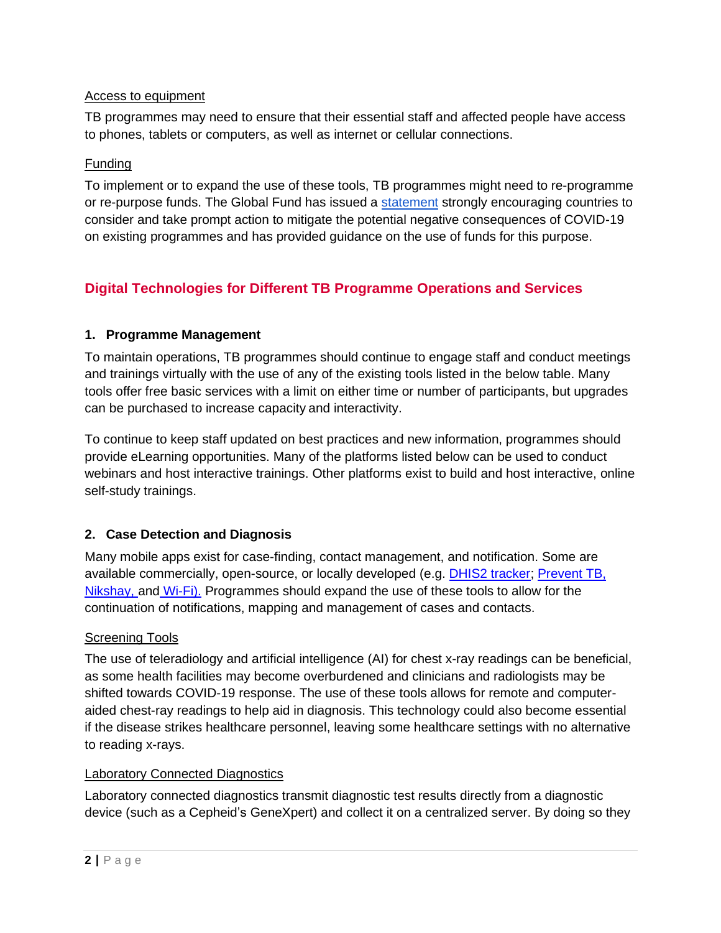### Access to equipment

TB programmes may need to ensure that their essential staff and affected people have access to phones, tablets or computers, as well as internet or cellular connections.

# Funding

To implement or to expand the use of these tools, TB programmes might need to re-programme or re-purpose funds. The Global Fund has issued a [statement](https://www.theglobalfund.org/media/9397/core_covid-19_guidancenote_en.pdf?u=637189162540000000) strongly encouraging countries to consider and take prompt action to mitigate the potential negative consequences of COVID-19 on existing programmes and has provided guidance on the use of funds for this purpose.

# **Digital Technologies for Different TB Programme Operations and Services**

#### **1. Programme Management**

To maintain operations, TB programmes should continue to engage staff and conduct meetings and trainings virtually with the use of any of the existing tools listed in the below table. Many tools offer free basic services with a limit on either time or number of participants, but upgrades can be purchased to increase capacity and interactivity.

To continue to keep staff updated on best practices and new information, programmes should provide eLearning opportunities. Many of the platforms listed below can be used to conduct webinars and host interactive trainings. Other platforms exist to build and host interactive, online self-study trainings.

# **2. Case Detection and Diagnosis**

Many mobile apps exist for case-finding, contact management, and notification. Some are available commercially, open-source, or locally developed (e.g. [DHIS2 tracker;](https://www.dhis2.org/) [Prevent TB,](https://www.who.int/tb/areas-of-work/preventive-care/ltbi/ltbi_app/en/) [Nikshay,](https://nikshay.in/) and [Wi-Fi\).](https://pdf.usaid.gov/pdf_docs/PA00SWTN.pdf) Programmes should expand the use of these tools to allow for the continuation of notifications, mapping and management of cases and contacts.

# Screening Tools

The use of teleradiology and artificial intelligence (AI) for chest x-ray readings can be beneficial, as some health facilities may become overburdened and clinicians and radiologists may be shifted towards COVID-19 response. The use of these tools allows for remote and computeraided chest-ray readings to help aid in diagnosis. This technology could also become essential if the disease strikes healthcare personnel, leaving some healthcare settings with no alternative to reading x-rays.

#### Laboratory Connected Diagnostics

Laboratory connected diagnostics transmit diagnostic test results directly from a diagnostic device (such as a Cepheid's GeneXpert) and collect it on a centralized server. By doing so they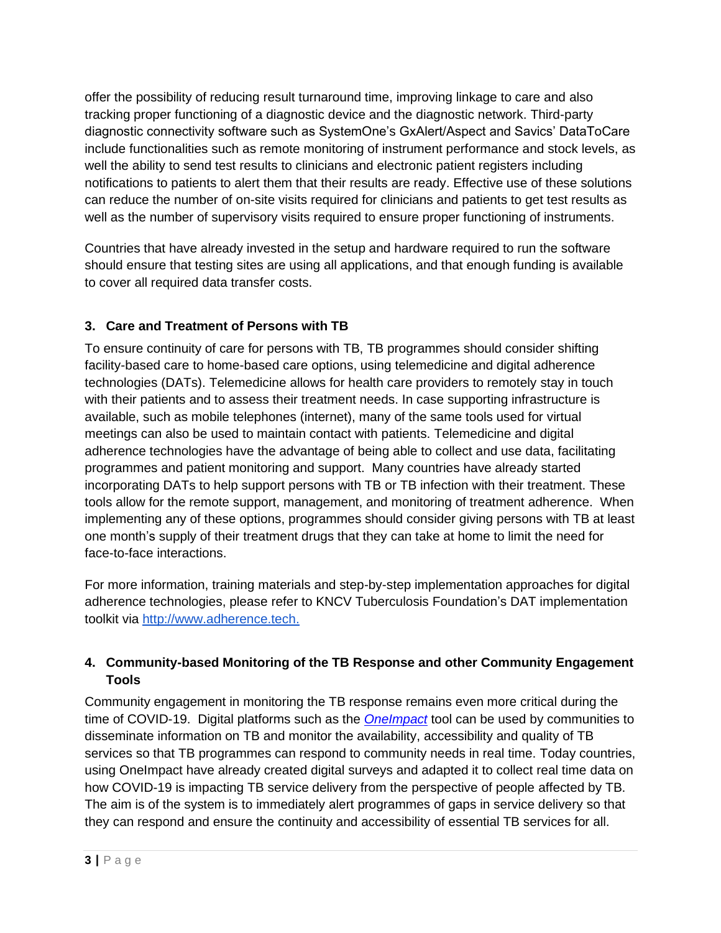offer the possibility of reducing result turnaround time, improving linkage to care and also tracking proper functioning of a diagnostic device and the diagnostic network. Third-party diagnostic connectivity software such as SystemOne's GxAlert/Aspect and Savics' DataToCare include functionalities such as remote monitoring of instrument performance and stock levels, as well the ability to send test results to clinicians and electronic patient registers including notifications to patients to alert them that their results are ready. Effective use of these solutions can reduce the number of on-site visits required for clinicians and patients to get test results as well as the number of supervisory visits required to ensure proper functioning of instruments.

Countries that have already invested in the setup and hardware required to run the software should ensure that testing sites are using all applications, and that enough funding is available to cover all required data transfer costs.

# **3. Care and Treatment of Persons with TB**

To ensure continuity of care for persons with TB, TB programmes should consider shifting facility-based care to home-based care options, using telemedicine and digital adherence technologies (DATs). Telemedicine allows for health care providers to remotely stay in touch with their patients and to assess their treatment needs. In case supporting infrastructure is available, such as mobile telephones (internet), many of the same tools used for virtual meetings can also be used to maintain contact with patients. Telemedicine and digital adherence technologies have the advantage of being able to collect and use data, facilitating programmes and patient monitoring and support. Many countries have already started incorporating DATs to help support persons with TB or TB infection with their treatment. These tools allow for the remote support, management, and monitoring of treatment adherence. When implementing any of these options, programmes should consider giving persons with TB at least one month's supply of their treatment drugs that they can take at home to limit the need for face-to-face interactions.

For more information, training materials and step-by-step implementation approaches for digital adherence technologies, please refer to KNCV Tuberculosis Foundation's DAT implementation toolkit vi[a](https://eur01.safelinks.protection.outlook.com/?url=http%3A%2F%2Fwww.adherence.tech%2F&data=02%7C01%7Camerak%40stoptb.org%7Cab04eb234df24feca8d008d7cc065137%7Caf68dcd83c2643f784ba06a7bb07ca3d%7C1%7C0%7C637202199814026668&sdata=loZanUoX65NV7ooTHftC9t8f4krQT%2BLzkK%2FRBdjYP4E%3D&reserved=0) [http://www.adherence.tech.](https://eur01.safelinks.protection.outlook.com/?url=http%3A%2F%2Fwww.adherence.tech%2F&data=02%7C01%7Camerak%40stoptb.org%7Cab04eb234df24feca8d008d7cc065137%7Caf68dcd83c2643f784ba06a7bb07ca3d%7C1%7C0%7C637202199814026668&sdata=loZanUoX65NV7ooTHftC9t8f4krQT%2BLzkK%2FRBdjYP4E%3D&reserved=0)

# **4. Community-based Monitoring of the TB Response and other Community Engagement Tools**

Community engagement in monitoring the TB response remains even more critical during the time of COVID-19. Digital platforms such as the *[OneImpact](https://stoptbpartnershiponeimpact.org/)* tool can be used by communities to disseminate information on TB and monitor the availability, accessibility and quality of TB services so that TB programmes can respond to community needs in real time. Today countries, using OneImpact have already created digital surveys and adapted it to collect real time data on how COVID-19 is impacting TB service delivery from the perspective of people affected by TB. The aim is of the system is to immediately alert programmes of gaps in service delivery so that they can respond and ensure the continuity and accessibility of essential TB services for all.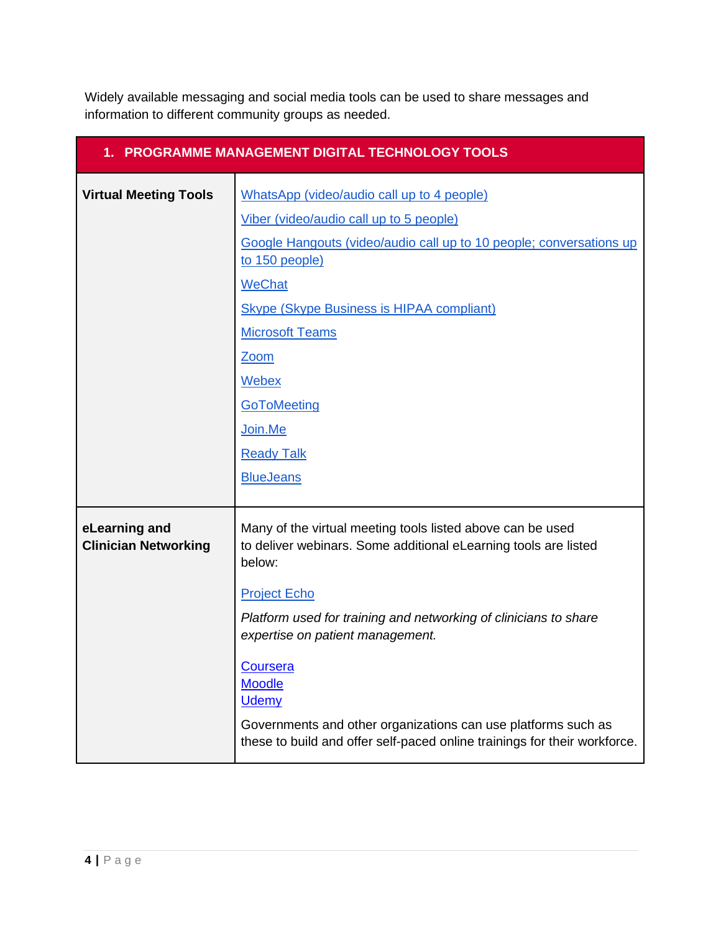Widely available messaging and social media tools can be used to share messages and information to different community groups as needed.

| 1. PROGRAMME MANAGEMENT DIGITAL TECHNOLOGY TOOLS |                                                                                                                                            |  |
|--------------------------------------------------|--------------------------------------------------------------------------------------------------------------------------------------------|--|
| <b>Virtual Meeting Tools</b>                     | WhatsApp (video/audio call up to 4 people)                                                                                                 |  |
|                                                  | Viber (video/audio call up to 5 people)                                                                                                    |  |
|                                                  | Google Hangouts (video/audio call up to 10 people; conversations up<br>to 150 people)                                                      |  |
|                                                  | <b>WeChat</b>                                                                                                                              |  |
|                                                  | <b>Skype (Skype Business is HIPAA compliant)</b>                                                                                           |  |
|                                                  | <b>Microsoft Teams</b>                                                                                                                     |  |
|                                                  | <b>Zoom</b>                                                                                                                                |  |
|                                                  | Webex                                                                                                                                      |  |
|                                                  | GoToMeeting                                                                                                                                |  |
|                                                  | Join.Me                                                                                                                                    |  |
|                                                  | <b>Ready Talk</b>                                                                                                                          |  |
|                                                  | <b>BlueJeans</b>                                                                                                                           |  |
|                                                  |                                                                                                                                            |  |
| eLearning and<br><b>Clinician Networking</b>     | Many of the virtual meeting tools listed above can be used<br>to deliver webinars. Some additional eLearning tools are listed<br>below:    |  |
|                                                  | <b>Project Echo</b>                                                                                                                        |  |
|                                                  | Platform used for training and networking of clinicians to share<br>expertise on patient management.                                       |  |
|                                                  | <b>Coursera</b><br><b>Moodle</b><br><b>Udemy</b>                                                                                           |  |
|                                                  | Governments and other organizations can use platforms such as<br>these to build and offer self-paced online trainings for their workforce. |  |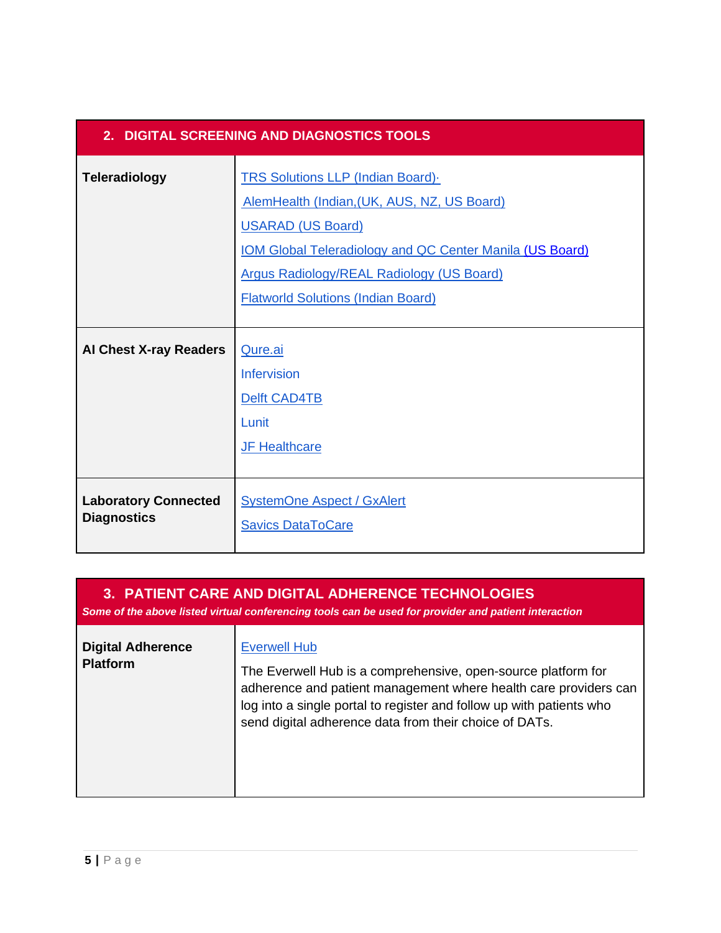| 2. DIGITAL SCREENING AND DIAGNOSTICS TOOLS        |                                                                                                                                                                                                                                                                                         |  |
|---------------------------------------------------|-----------------------------------------------------------------------------------------------------------------------------------------------------------------------------------------------------------------------------------------------------------------------------------------|--|
| <b>Teleradiology</b>                              | <b>TRS Solutions LLP (Indian Board).</b><br>AlemHealth (Indian, (UK, AUS, NZ, US Board)<br><b>USARAD (US Board)</b><br><b>IOM Global Teleradiology and QC Center Manila (US Board)</b><br><b>Argus Radiology/REAL Radiology (US Board)</b><br><b>Flatworld Solutions (Indian Board)</b> |  |
| <b>Al Chest X-ray Readers</b>                     | Qure.ai<br><b>Infervision</b><br>Delft CAD4TB<br>Lunit<br><b>JF Healthcare</b>                                                                                                                                                                                                          |  |
| <b>Laboratory Connected</b><br><b>Diagnostics</b> | <b>SystemOne Aspect / GxAlert</b><br><b>Savics DataToCare</b>                                                                                                                                                                                                                           |  |

*Some of the above listed virtual conferencing tools can be used for provider and patient interaction*

| <b>Digital Adherence</b><br><b>Platform</b> | <b>Everwell Hub</b><br>The Everwell Hub is a comprehensive, open-source platform for<br>adherence and patient management where health care providers can<br>log into a single portal to register and follow up with patients who<br>send digital adherence data from their choice of DATs. |
|---------------------------------------------|--------------------------------------------------------------------------------------------------------------------------------------------------------------------------------------------------------------------------------------------------------------------------------------------|
|---------------------------------------------|--------------------------------------------------------------------------------------------------------------------------------------------------------------------------------------------------------------------------------------------------------------------------------------------|